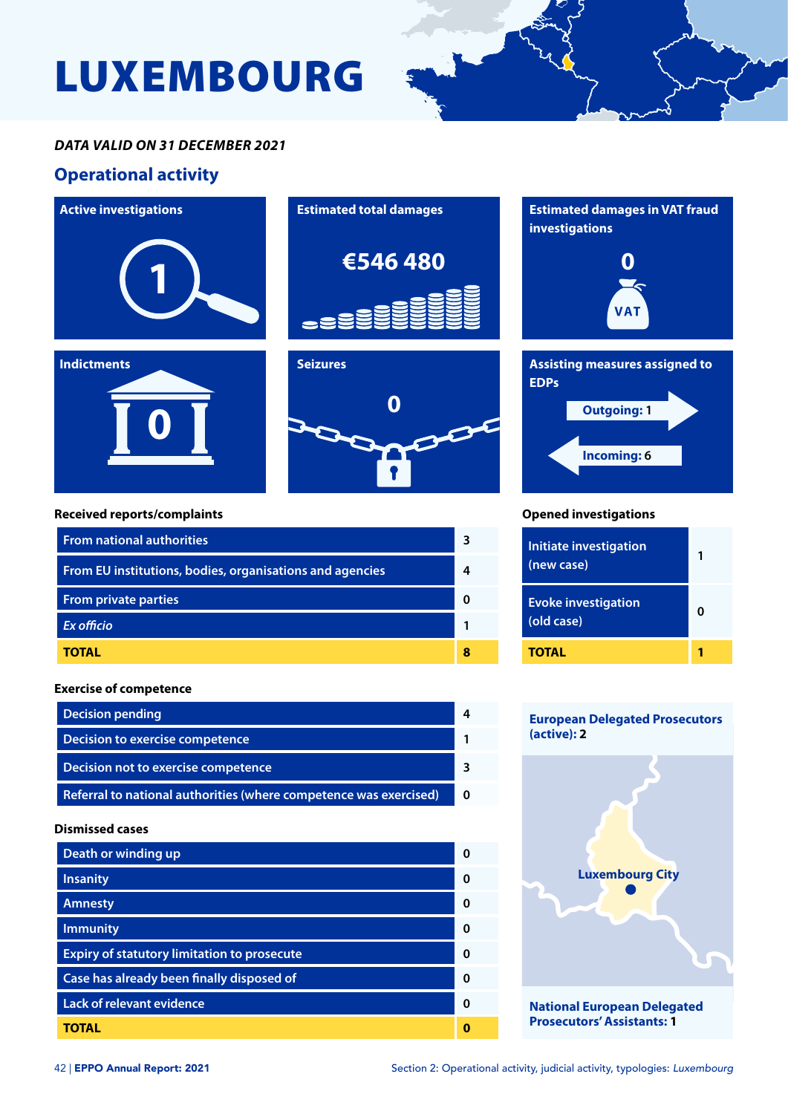# LUXEMBOURG



## *DATA VALID ON 31 DECEMBER 2021*

## **Operational activity**



| <b>From private parties</b> |  |
|-----------------------------|--|
| <b>Ex officio</b>           |  |
| <b>TOTAL</b>                |  |
|                             |  |

#### **Exercise of competence**

| <b>Decision pending</b>                                           |  |
|-------------------------------------------------------------------|--|
| Decision to exercise competence                                   |  |
| Decision not to exercise competence                               |  |
| Referral to national authorities (where competence was exercised) |  |

#### **Dismissed cases**

| Death or winding up                                |   |
|----------------------------------------------------|---|
| <b>Insanity</b>                                    | ŋ |
| <b>Amnesty</b>                                     | ŋ |
| <b>Immunity</b>                                    | ŋ |
| <b>Expiry of statutory limitation to prosecute</b> | n |
| Case has already been finally disposed of          | ŋ |
| <b>Lack of relevant evidence</b>                   | ŋ |
| TOTAL                                              |   |



**(old case) <sup>0</sup>**

**Evoke investigation** 

**1**